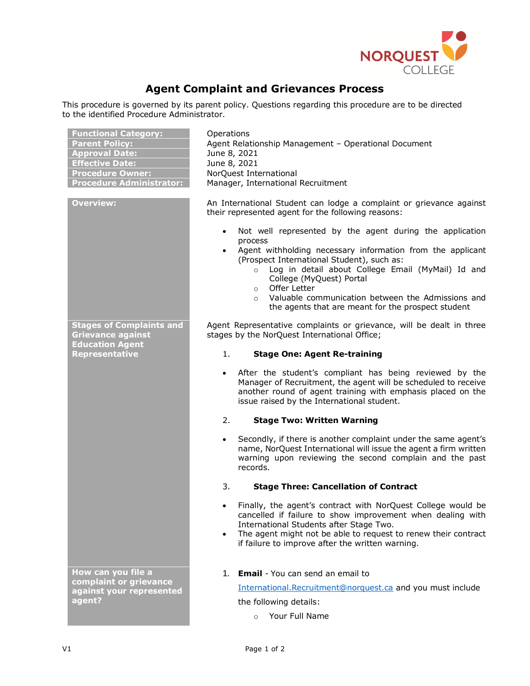

## **Agent Complaint and Grievances Process**

This procedure is governed by its parent policy. Questions regarding this procedure are to be directed to the identified Procedure Administrator.

| <b>Functional Category:</b><br><b>Parent Policy:</b><br><b>Approval Date:</b><br><b>Effective Date:</b><br><b>Procedure Owner:</b><br><b>Procedure Administrator:</b> | Operations<br>Agent Relationship Management - Operational Document<br>June 8, 2021<br>June 8, 2021<br>NorQuest International<br>Manager, International Recruitment                                                                                                                                                                                                                                                                        |
|-----------------------------------------------------------------------------------------------------------------------------------------------------------------------|-------------------------------------------------------------------------------------------------------------------------------------------------------------------------------------------------------------------------------------------------------------------------------------------------------------------------------------------------------------------------------------------------------------------------------------------|
| <b>Overview:</b>                                                                                                                                                      | An International Student can lodge a complaint or grievance against<br>their represented agent for the following reasons:                                                                                                                                                                                                                                                                                                                 |
|                                                                                                                                                                       | Not well represented by the agent during the application<br>$\bullet$<br>process<br>Agent withholding necessary information from the applicant<br>(Prospect International Student), such as:<br>Log in detail about College Email (MyMail) Id and<br>$\circ$<br>College (MyQuest) Portal<br>Offer Letter<br>$\circ$<br>Valuable communication between the Admissions and<br>$\circ$<br>the agents that are meant for the prospect student |
| <b>Stages of Complaints and</b><br><b>Grievance against</b><br><b>Education Agent</b>                                                                                 | Agent Representative complaints or grievance, will be dealt in three<br>stages by the NorQuest International Office;                                                                                                                                                                                                                                                                                                                      |
| <b>Representative</b>                                                                                                                                                 | 1.<br><b>Stage One: Agent Re-training</b>                                                                                                                                                                                                                                                                                                                                                                                                 |
|                                                                                                                                                                       | After the student's compliant has being reviewed by the<br>$\bullet$<br>Manager of Recruitment, the agent will be scheduled to receive<br>another round of agent training with emphasis placed on the<br>issue raised by the International student.                                                                                                                                                                                       |
|                                                                                                                                                                       | 2.<br><b>Stage Two: Written Warning</b>                                                                                                                                                                                                                                                                                                                                                                                                   |
|                                                                                                                                                                       | Secondly, if there is another complaint under the same agent's<br>$\bullet$<br>name, NorQuest International will issue the agent a firm written<br>warning upon reviewing the second complain and the past<br>records.                                                                                                                                                                                                                    |
|                                                                                                                                                                       | 3.<br><b>Stage Three: Cancellation of Contract</b>                                                                                                                                                                                                                                                                                                                                                                                        |
|                                                                                                                                                                       | Finally, the agent's contract with NorQuest College would be<br>cancelled if failure to show improvement when dealing with<br>International Students after Stage Two.<br>The agent might not be able to request to renew their contract<br>$\bullet$<br>if failure to improve after the written warning.                                                                                                                                  |
| How can you file a<br>complaint or grievance<br>against your represented                                                                                              | <b>Email</b> - You can send an email to<br>1.                                                                                                                                                                                                                                                                                                                                                                                             |
|                                                                                                                                                                       | International. Recruitment@norquest.ca and you must include                                                                                                                                                                                                                                                                                                                                                                               |
| agent?                                                                                                                                                                | the following details:                                                                                                                                                                                                                                                                                                                                                                                                                    |
|                                                                                                                                                                       | Your Full Name<br>$\circ$                                                                                                                                                                                                                                                                                                                                                                                                                 |